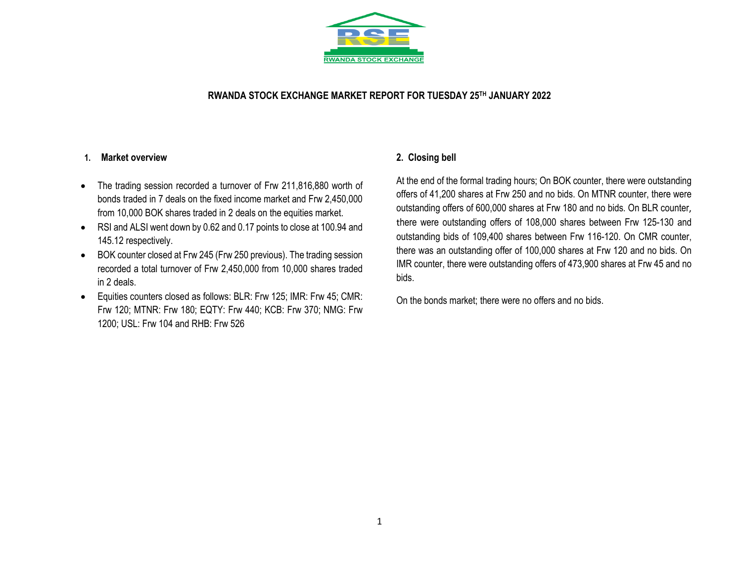

## **RWANDA STOCK EXCHANGE MARKET REPORT FOR TUESDAY 25 TH JANUARY 2022**

### **1. Market overview**

- The trading session recorded a turnover of Frw 211,816,880 worth of bonds traded in 7 deals on the fixed income market and Frw 2,450,000 from 10,000 BOK shares traded in 2 deals on the equities market.
- RSI and ALSI went down by 0.62 and 0.17 points to close at 100.94 and 145.12 respectively.
- BOK counter closed at Frw 245 (Frw 250 previous). The trading session recorded a total turnover of Frw 2,450,000 from 10,000 shares traded in 2 deals.
- Equities counters closed as follows: BLR: Frw 125; IMR: Frw 45; CMR: Frw 120; MTNR: Frw 180; EQTY: Frw 440; KCB: Frw 370; NMG: Frw 1200; USL: Frw 104 and RHB: Frw 526

## **2. Closing bell**

At the end of the formal trading hours; On BOK counter, there were outstanding offers of 41,200 shares at Frw 250 and no bids. On MTNR counter, there were outstanding offers of 600,000 shares at Frw 180 and no bids. On BLR counter, there were outstanding offers of 108,000 shares between Frw 125-130 and outstanding bids of 109,400 shares between Frw 116-120. On CMR counter, there was an outstanding offer of 100,000 shares at Frw 120 and no bids. On IMR counter, there were outstanding offers of 473,900 shares at Frw 45 and no bids.

On the bonds market; there were no offers and no bids.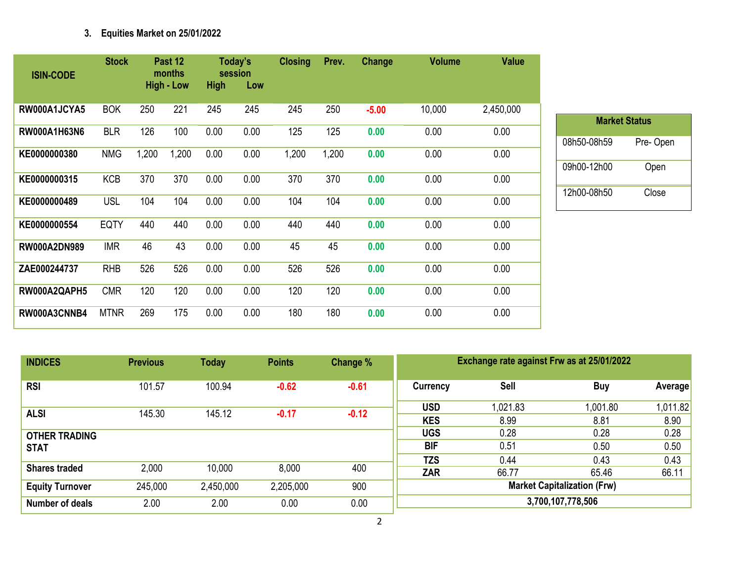# **3. Equities Market on 25/01/2022**

| <b>ISIN-CODE</b>    | <b>Stock</b> |       | Past 12<br>months<br><b>High - Low</b> | <b>High</b> | Today's<br>session<br>Low | <b>Closing</b> | Prev. | Change  | <b>Volume</b> | <b>Value</b> |
|---------------------|--------------|-------|----------------------------------------|-------------|---------------------------|----------------|-------|---------|---------------|--------------|
| RW000A1JCYA5        | <b>BOK</b>   | 250   | 221                                    | 245         | 245                       | 245            | 250   | $-5.00$ | 10,000        | 2,450,000    |
| RW000A1H63N6        | <b>BLR</b>   | 126   | 100                                    | 0.00        | 0.00                      | 125            | 125   | 0.00    | 0.00          | 0.00         |
| KE0000000380        | <b>NMG</b>   | 1,200 | 1,200                                  | 0.00        | 0.00                      | 1,200          | 1,200 | 0.00    | 0.00          | 0.00         |
| KE0000000315        | <b>KCB</b>   | 370   | 370                                    | 0.00        | 0.00                      | 370            | 370   | 0.00    | 0.00          | 0.00         |
| KE0000000489        | <b>USL</b>   | 104   | 104                                    | 0.00        | 0.00                      | 104            | 104   | 0.00    | 0.00          | 0.00         |
| KE0000000554        | <b>EQTY</b>  | 440   | 440                                    | 0.00        | 0.00                      | 440            | 440   | 0.00    | 0.00          | 0.00         |
| <b>RW000A2DN989</b> | <b>IMR</b>   | 46    | 43                                     | 0.00        | 0.00                      | 45             | 45    | 0.00    | 0.00          | 0.00         |
| ZAE000244737        | <b>RHB</b>   | 526   | 526                                    | 0.00        | 0.00                      | 526            | 526   | 0.00    | 0.00          | 0.00         |
| RW000A2QAPH5        | <b>CMR</b>   | 120   | 120                                    | 0.00        | 0.00                      | 120            | 120   | 0.00    | 0.00          | 0.00         |
| RW000A3CNNB4        | <b>MTNR</b>  | 269   | 175                                    | 0.00        | 0.00                      | 180            | 180   | 0.00    | 0.00          | 0.00         |

| <b>Market Status</b> |           |  |  |  |  |  |  |  |  |
|----------------------|-----------|--|--|--|--|--|--|--|--|
| 08h50-08h59          | Pre- Open |  |  |  |  |  |  |  |  |
| 09h00-12h00          | Open      |  |  |  |  |  |  |  |  |
| 12h00-08h50          | Close     |  |  |  |  |  |  |  |  |

| <b>INDICES</b>         | <b>Previous</b> | <b>Today</b> | <b>Points</b> | Change % | Exchange rate against Frw as at 25/01/2022 |          |            |          |  |
|------------------------|-----------------|--------------|---------------|----------|--------------------------------------------|----------|------------|----------|--|
| <b>RSI</b>             | 101.57          | 100.94       | $-0.62$       | $-0.61$  | Currency                                   | Sell     | <b>Buy</b> | Average  |  |
| <b>ALSI</b>            | 145.30          | 145.12       | $-0.17$       | $-0.12$  | <b>USD</b>                                 | 1,021.83 | 1,001.80   | 1,011.82 |  |
|                        |                 |              |               |          | <b>KES</b>                                 | 8.99     | 8.81       | 8.90     |  |
| <b>OTHER TRADING</b>   |                 |              |               |          | <b>UGS</b>                                 | 0.28     | 0.28       | 0.28     |  |
| <b>STAT</b>            |                 |              |               |          | <b>BIF</b>                                 | 0.51     | 0.50       | 0.50     |  |
|                        |                 |              |               |          | <b>TZS</b>                                 | 0.44     | 0.43       | 0.43     |  |
| <b>Shares traded</b>   | 2,000           | 10,000       | 8,000         | 400      | <b>ZAR</b>                                 | 66.77    | 65.46      | 66.11    |  |
| <b>Equity Turnover</b> | 245,000         | 2,450,000    | 2,205,000     | 900      | <b>Market Capitalization (Frw)</b>         |          |            |          |  |
| Number of deals        | 2.00            | 2.00         | 0.00          | 0.00     | 3,700,107,778,506                          |          |            |          |  |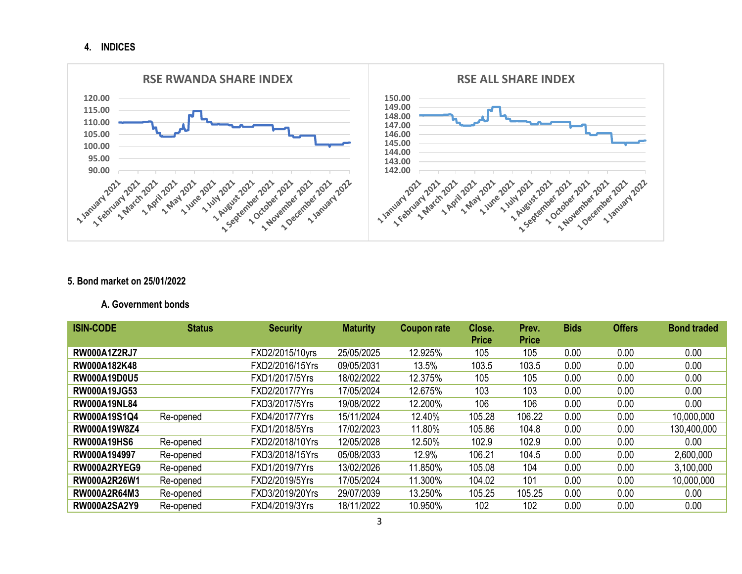**4. INDICES**



### **5. Bond market on 25/01/2022**

### **A. Government bonds**

| <b>ISIN-CODE</b>    | <b>Status</b> | <b>Security</b> | <b>Maturity</b> | <b>Coupon rate</b> | Close.<br><b>Price</b> | Prev.<br><b>Price</b> | <b>Bids</b> | <b>Offers</b> | <b>Bond traded</b> |
|---------------------|---------------|-----------------|-----------------|--------------------|------------------------|-----------------------|-------------|---------------|--------------------|
| <b>RW000A1Z2RJ7</b> |               | FXD2/2015/10yrs | 25/05/2025      | 12.925%            | 105                    | 105                   | 0.00        | 0.00          | 0.00               |
| RW000A182K48        |               | FXD2/2016/15Yrs | 09/05/2031      | 13.5%              | 103.5                  | 103.5                 | 0.00        | 0.00          | 0.00               |
| <b>RW000A19D0U5</b> |               | FXD1/2017/5Yrs  | 18/02/2022      | 12.375%            | 105                    | 105                   | 0.00        | 0.00          | 0.00               |
| <b>RW000A19JG53</b> |               | FXD2/2017/7Yrs  | 17/05/2024      | 12.675%            | 103                    | 103                   | 0.00        | 0.00          | 0.00               |
| <b>RW000A19NL84</b> |               | FXD3/2017/5Yrs  | 19/08/2022      | 12.200%            | 106                    | 106                   | 0.00        | 0.00          | 0.00               |
| RW000A19S1Q4        | Re-opened     | FXD4/2017/7Yrs  | 15/11/2024      | 12.40%             | 105.28                 | 106.22                | 0.00        | 0.00          | 10,000,000         |
| <b>RW000A19W8Z4</b> |               | FXD1/2018/5Yrs  | 17/02/2023      | 11.80%             | 105.86                 | 104.8                 | 0.00        | 0.00          | 130,400,000        |
| <b>RW000A19HS6</b>  | Re-opened     | FXD2/2018/10Yrs | 12/05/2028      | 12.50%             | 102.9                  | 102.9                 | 0.00        | 0.00          | 0.00               |
| RW000A194997        | Re-opened     | FXD3/2018/15Yrs | 05/08/2033      | 12.9%              | 106.21                 | 104.5                 | 0.00        | 0.00          | 2,600,000          |
| RW000A2RYEG9        | Re-opened     | FXD1/2019/7Yrs  | 13/02/2026      | 11.850%            | 105.08                 | 104                   | 0.00        | 0.00          | 3,100,000          |
| <b>RW000A2R26W1</b> | Re-opened     | FXD2/2019/5Yrs  | 17/05/2024      | 11.300%            | 104.02                 | 101                   | 0.00        | 0.00          | 10,000,000         |
| <b>RW000A2R64M3</b> | Re-opened     | FXD3/2019/20Yrs | 29/07/2039      | 13.250%            | 105.25                 | 105.25                | 0.00        | 0.00          | 0.00               |
| <b>RW000A2SA2Y9</b> | Re-opened     | FXD4/2019/3Yrs  | 18/11/2022      | 10.950%            | 102                    | 102                   | 0.00        | 0.00          | 0.00               |